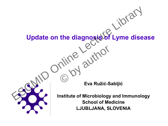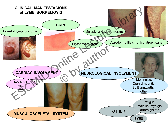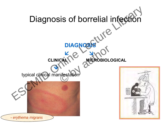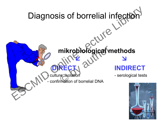# Diagnosis of borrelial infection  **mikrobiological methods**  $\mathbf{u} \cdot \mathbf{v} = \mathbf{v} \cdot \mathbf{v}$ **DIRECT** culture, isolation - serological tests confirmation of borrelial DNA Diagnosis of borrelial infection mikrobiological m<br>
RECT avita<br>
RECT avita<br>
Francische de DNA<br>
Francische de DNA

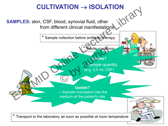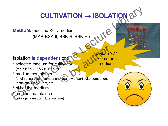## **CULTIVATION** → **ISOLATION**

**MEDIUM:** modified Kelly medium (MKP, BSK-II, BSK-H, BSK-Hi)

### Isolation **is dependent** on:

\* selected medium for cultivation (MKP, BSK-II, BSK-H, BSK-Hi)

**\*** medium complements (origin of particular component, quantity of particular component, antibiotic supplement, etc.)  $\begin{CD} \text{WEDIUM: modified Kelly medium} \\ \text{(MKP, BSK-II, BSK-H, BSK-H, BSK-H)} \\ \text{NISolation is dependent on the *equation* for *equation* and *equation* for *equation* and *equation* for *equation* components (origin of *particular component*, *unrelation*) * plot the medium and *equation* matrices, *transport*, *equation* time).$ et on:<br>
It on:<br>
It Commer medium<br>
it Guaritity of particular component,

### **\*** pH of the medium

**\*** medium maintaince (storage, transport, duration time) Jpdate ??? **mmercial** medium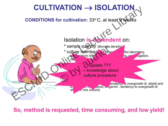

**So, method is requested, time consuming, and low yield!**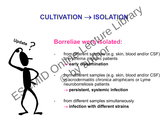# **CULTIVATION** → **ISOLATION**



## **Borreliae were isolated:**

- from different samples (e.g. skin, blood and/or CSF) in *erythema migrans* patients early dissemination from different samples (e.g.<br>
therythema migrans patier<br>
early dissemination<br>
from different samples (e.g.<br>
in acrodermatitis chronica
	- from different samples (e.g. skin, blood and/or CSF) in *acrodermatitis chronica atrophicans* or Lyme neuroborreliosis patients
		- → **persistent, systemic infection**
	- from different samples simultaneously → **infection with different strains**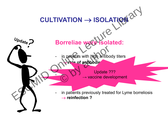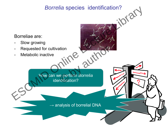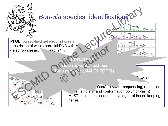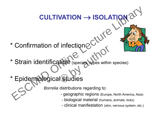## \* Confirmation of infection

\* Strain identification (species, types within species) CULTIVATION  $\rightarrow$  ISOLATION  $\alpha^{(1)}$ <br>  $\uparrow$  Confirmation of infections  $C^{(1)}$ <br>  $\uparrow$  Strain identification (species whose within species)<br>  $\uparrow$  Epidemiological Gludies<br>  $\uparrow$  Epidemiological Gludies<br>  $\downarrow$  Epidemiologica Timecuoire<br>
Children (species types within

**CULTIVATION** → **ISOLATION**

## \* Epidemiological studies

*Borrelia* distributions regarding to:

- geographic regions (Europe, North America, Asia)
- biological material (humans, animals, ticks)
- clinical manifestation (skin, nervous system, etc.)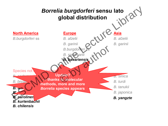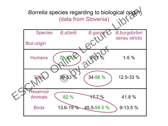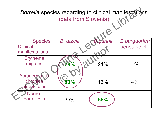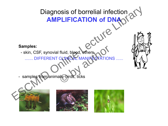





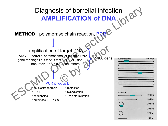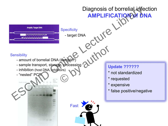## Diagnosis of borrelial infection **AMPLIFICATION OF DNA** Amplify Target DNA<br>••• Specificity **EXAMPLE AND SURVEY CONTROL**<br>
SURVEY CONTROL CONTROL CONTROL CONTROL CONTROL CONTROL CONTROL CONTROL CONTROL CONTROL CONTROL CONTROL CONTROL <br>
THE CONTROL CONTROL CONTROL CONTROL CONTROL CONTROL CONTROL CONTROL CONTROL CON **Sensibility**  - amount of borrelial DNA (sample?) - sample transport, storage, processing - inhibition (host DNA, inhibitors) - "nested" PCR Fast **Update ??????** \* not standardized \* requested \* expensive \* false positive/negative Diagnosis of borrelial inference<br>
AMPLIFICATION<br>
ENTRETATION<br>
Sensibility<br>
- amount of borrelial DNA (sample?)<br>
- smaller transport, storage, processing<br>
- inhibition (host DNA, lengibles)<br>
- "nested" PCN<br>
CON CONTROL TO T Leur of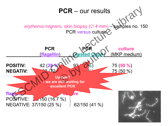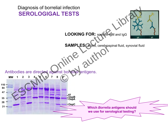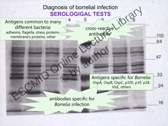## Diagnosis of borrelial infection **SEROLOGIGAL TESTS**

Antigens common to many different bacteria: adhesins, flagella, stress proteins membrane's proteins, other Diagnosis of borrellal infection<br>
SEROLOGIGAL TESTS<br>
different bacteria:<br>
membrane's proteins, other<br>
MIC CONNECTES antibodies<br>
CONNECTES CONNECTES<br>
Antigens specific for *Borrel*<br>
Antigens specific for *Borrel*<br>
ONLIE, ot

cross-reactive antibodies

Antigens specific for *Borrelia*: OspA, OspB, OspC, p100, p39, p18, VlsE, others C by authors Antigens S

antibodies specific for *Borrelia* infection

16

110

84

47

33

24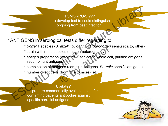#### TOMORROW ???<br>Endinguis of the bould distinguish **SERVICE TESTS IN THE INCREDICT**<br>
ongoing from past infection. TOMORROW ??? - to develop test to could distinguish

**\*** ANTIGENS in serological tests differ regarding to:

- **\*** *Borrelia* species (*B. afzelii*, *B. garinii*, *B. burgdorferi* sensu stricto, other)
- **\*** strain within the species (antigen heterogeneity)
- **\*** antigen preparation (whole cell, sonicated whole cell, purified antigens, recombinant antigens) TOMORROW ???<br>
to develop test to could distinguish<br>
ongoing from past infection.<br>
\* Borrelia species (B. afzelii, B. garinica burgdorferi sensu stricto, other)<br>
\* strain within the species (artigen beterogenety)<br>
\* antigen A arzelli, B. garini, B. burgaorieri s<br>ecies (antigen heterogeneity)<br>(whole cell, sonicated whole cell<br>ens)<br>gens (common antigens, Borrelia<br>(from one to more), etc.

\* combination of antigens (common antigens, *Borrelia* specific antigens)

\* number of antigens (from one to more), etc.

#### **Update?**

**→** prepare commercially available tests for confirming patients antibodies against specific borrelial antigens.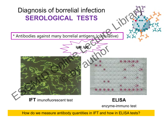

How do we measure antibody quantities in IFT and how in ELISA tests?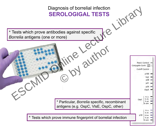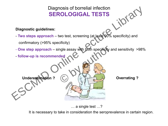### Diagnosis of borrelial infection **SEROLOGIGAL TESTS**

#### **Diagnostic guidelines:**

- **Two steps approach**  two test, screening (at least 90% specificity) and confirmatory (>95% specificity) Diagnosis of borrelial infection<br>
SEROLOGIGAL TESTS<br>
Diagnostic guidelines:<br>
Two steps approach – two test, screening (at least 60% specificity) and<br>
confirmatory (>95% specificity)<br>
- One step approach – single assay with
	- **One step approach**  single assay with both specificity and sensitivity >98% ngle assay with both specificity are
	- **follow-up is recommended**

Underestimation ? (C) (e) Wernating ?

… a single test …?

It is necessary to take in consideration the seroprevalence in certain region.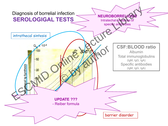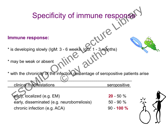## Specificity of immune response

#### **Immune response:**

| Specificity of immune response                                                 |                            |  |
|--------------------------------------------------------------------------------|----------------------------|--|
|                                                                                |                            |  |
| mmune response:                                                                |                            |  |
| is developing slowly (IgM: 3 - 6 weeks, IgG: 1 - 3 months)                     |                            |  |
| may be weak or absent                                                          |                            |  |
| with the chronicity of the infection percentage of seropositive patients arise |                            |  |
| clinical manifestations                                                        | seropositive               |  |
| early, localized (e.g. EM)<br>early, disseminated (e.g. neuroborreliosis)      | $20 - 50 %$<br>$50 - 90 %$ |  |
| chronic infection (e.g. ACA)                                                   | $90 - 100 %$               |  |
|                                                                                |                            |  |

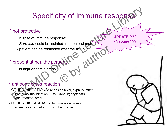## Specificity of immune response

### \* not protective

in spite of immune response:

- *Borreliae* could be isolated from clinical material
- patient can be reinfected after the tick bite Parter the tick bite<br>Sensing authority

### \* present at healthy perso

in high-endemic areas

### \* antibody cross reaction

- OTHER INFECTIONS: relapsing fever, syphilis, other bacteria/virus infection (EBV, CMV, *Mycoplasma pneumoniae*, other) Specificity of immune response.<br>
In spite of immune response.<br>
- *Borreliae* could be isolated from clinical **packing**<br>
- patient can be reinfected after the tick bigger and the response.<br>
Present at healthy personal of th
- OTHER DISEASEAS: autoimmune disorders (rheumatoid arthritis, lupus, other), other

**UPDATE ???** - Vaccine ???